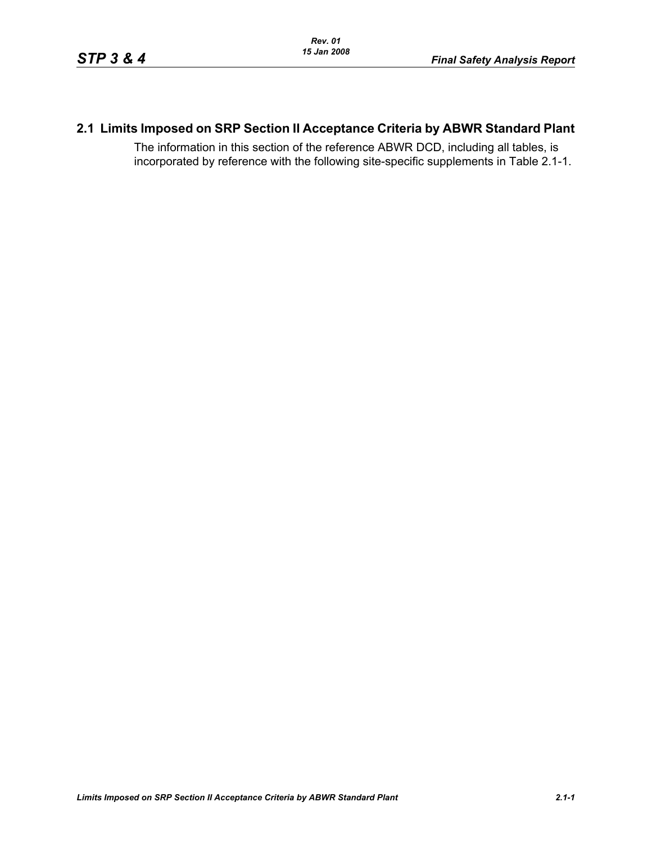# **2.1 Limits Imposed on SRP Section II Acceptance Criteria by ABWR Standard Plant**

The information in this section of the reference ABWR DCD, including all tables, is incorporated by reference with the following site-specific supplements in Table [2.1-1.](#page-1-0)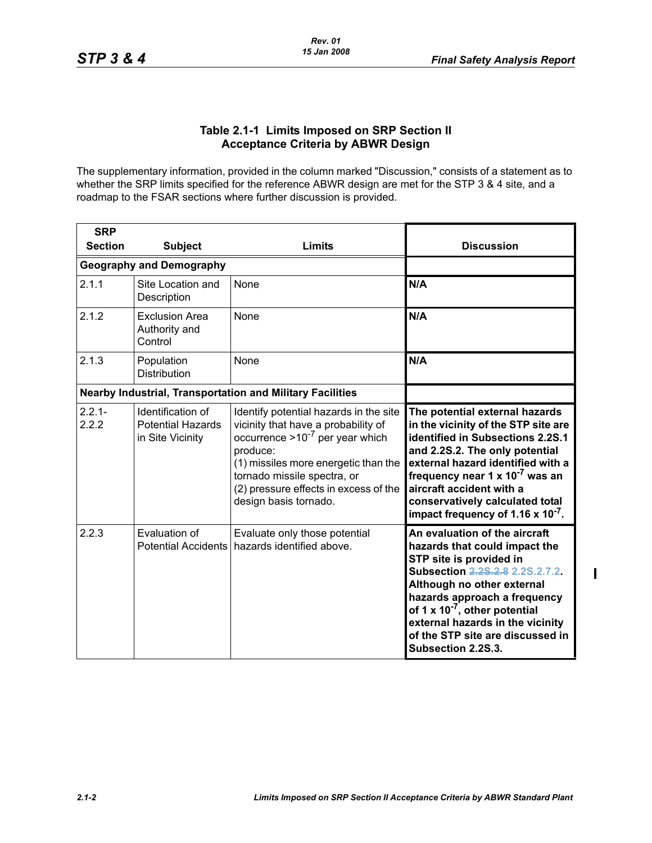$\mathbf{I}$ 

### **Table 2.1-1 Limits Imposed on SRP Section II Acceptance Criteria by ABWR Design**

<span id="page-1-0"></span>The supplementary information, provided in the column marked "Discussion," consists of a statement as to whether the SRP limits specified for the reference ABWR design are met for the STP 3 & 4 site, and a roadmap to the FSAR sections where further discussion is provided.

| <b>SRP</b>         |                                                                   |                                                                                                                                                                                                                                                                            |                                                                                                                                                                                                                                                                                                                                                       |
|--------------------|-------------------------------------------------------------------|----------------------------------------------------------------------------------------------------------------------------------------------------------------------------------------------------------------------------------------------------------------------------|-------------------------------------------------------------------------------------------------------------------------------------------------------------------------------------------------------------------------------------------------------------------------------------------------------------------------------------------------------|
| <b>Section</b>     | <b>Subject</b>                                                    | Limits                                                                                                                                                                                                                                                                     | <b>Discussion</b>                                                                                                                                                                                                                                                                                                                                     |
|                    | <b>Geography and Demography</b>                                   |                                                                                                                                                                                                                                                                            |                                                                                                                                                                                                                                                                                                                                                       |
| 2.1.1              | Site Location and<br>Description                                  | None                                                                                                                                                                                                                                                                       | N/A                                                                                                                                                                                                                                                                                                                                                   |
| 2.1.2              | <b>Exclusion Area</b><br>Authority and<br>Control                 | <b>None</b>                                                                                                                                                                                                                                                                | N/A                                                                                                                                                                                                                                                                                                                                                   |
| 2.1.3              | Population<br><b>Distribution</b>                                 | None                                                                                                                                                                                                                                                                       | N/A                                                                                                                                                                                                                                                                                                                                                   |
|                    |                                                                   | <b>Nearby Industrial, Transportation and Military Facilities</b>                                                                                                                                                                                                           |                                                                                                                                                                                                                                                                                                                                                       |
| $2.2.1 -$<br>2.2.2 | Identification of<br><b>Potential Hazards</b><br>in Site Vicinity | Identify potential hazards in the site<br>vicinity that have a probability of<br>occurrence $>10^{-7}$ per year which<br>produce:<br>(1) missiles more energetic than the<br>tornado missile spectra, or<br>(2) pressure effects in excess of the<br>design basis tornado. | The potential external hazards<br>in the vicinity of the STP site are<br>identified in Subsections 2.2S.1<br>and 2.2S.2. The only potential<br>external hazard identified with a<br>frequency near 1 x 10 <sup>-7</sup> was an<br>aircraft accident with a<br>conservatively calculated total<br>impact frequency of 1.16 $\times$ 10 <sup>-7</sup> . |
| 2.2.3              | Evaluation of<br><b>Potential Accidents</b>                       | Evaluate only those potential<br>hazards identified above.                                                                                                                                                                                                                 | An evaluation of the aircraft<br>hazards that could impact the<br>STP site is provided in<br>Subsection 2.28.2.8 2.2S.2.7.2.<br>Although no other external<br>hazards approach a frequency<br>of 1 x $10^{-7}$ , other potential<br>external hazards in the vicinity<br>of the STP site are discussed in<br>Subsection 2.2S.3.                        |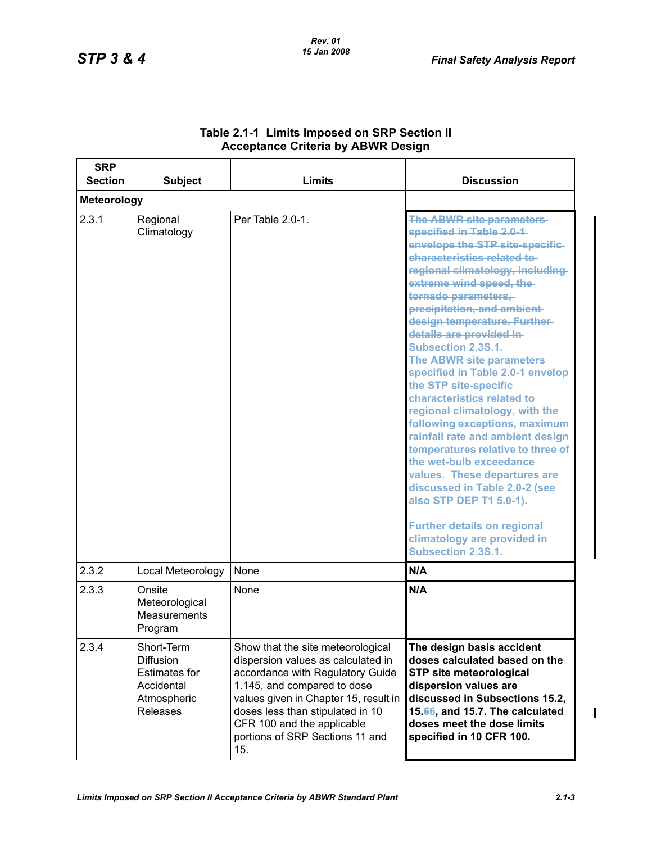| <b>SRP</b><br><b>Section</b> | <b>Subject</b>                                                                                  | Limits                                                                                                                                                                                                                                                                                          | <b>Discussion</b>                                                                                                                                                                                                                                                                                                                                                                                                                                                                                                                                                                                                                                                                                                                                                                                                                  |
|------------------------------|-------------------------------------------------------------------------------------------------|-------------------------------------------------------------------------------------------------------------------------------------------------------------------------------------------------------------------------------------------------------------------------------------------------|------------------------------------------------------------------------------------------------------------------------------------------------------------------------------------------------------------------------------------------------------------------------------------------------------------------------------------------------------------------------------------------------------------------------------------------------------------------------------------------------------------------------------------------------------------------------------------------------------------------------------------------------------------------------------------------------------------------------------------------------------------------------------------------------------------------------------------|
| Meteorology                  |                                                                                                 |                                                                                                                                                                                                                                                                                                 |                                                                                                                                                                                                                                                                                                                                                                                                                                                                                                                                                                                                                                                                                                                                                                                                                                    |
| 2.3.1                        | Regional<br>Climatology                                                                         | Per Table 2.0-1.                                                                                                                                                                                                                                                                                | <b>The ABWR site parameters-</b><br>specified in Table 2.0-1-<br>envelope the STP site-specific-<br>characteristics related to-<br>regional climatology, including-<br>extreme wind speed, the<br>tornado parameters,<br>precipitation, and ambient-<br>design temperature. Further-<br>details are provided in-<br>Subsection 2.3S.1.<br>The ABWR site parameters<br>specified in Table 2.0-1 envelop<br>the STP site-specific<br>characteristics related to<br>regional climatology, with the<br>following exceptions, maximum<br>rainfall rate and ambient design<br>temperatures relative to three of<br>the wet-bulb exceedance<br>values. These departures are<br>discussed in Table 2.0-2 (see<br>also STP DEP T1 5.0-1).<br><b>Further details on regional</b><br>climatology are provided in<br><b>Subsection 2.3S.1.</b> |
| 2.3.2                        | Local Meteorology                                                                               | None                                                                                                                                                                                                                                                                                            | N/A                                                                                                                                                                                                                                                                                                                                                                                                                                                                                                                                                                                                                                                                                                                                                                                                                                |
| 2.3.3                        | Onsite<br>Meteorological<br>Measurements<br>Program                                             | <b>None</b>                                                                                                                                                                                                                                                                                     | N/A                                                                                                                                                                                                                                                                                                                                                                                                                                                                                                                                                                                                                                                                                                                                                                                                                                |
| 2.3.4                        | Short-Term<br>Diffusion<br><b>Estimates for</b><br>Accidental<br>Atmospheric<br><b>Releases</b> | Show that the site meteorological<br>dispersion values as calculated in<br>accordance with Regulatory Guide<br>1.145, and compared to dose<br>values given in Chapter 15, result in<br>doses less than stipulated in 10<br>CFR 100 and the applicable<br>portions of SRP Sections 11 and<br>15. | The design basis accident<br>doses calculated based on the<br><b>STP site meteorological</b><br>dispersion values are<br>discussed in Subsections 15.2,<br>15.56, and 15.7. The calculated<br>doses meet the dose limits<br>specified in 10 CFR 100.                                                                                                                                                                                                                                                                                                                                                                                                                                                                                                                                                                               |

## **Table 2.1-1 Limits Imposed on SRP Section II Acceptance Criteria by ABWR Design**

 $\blacksquare$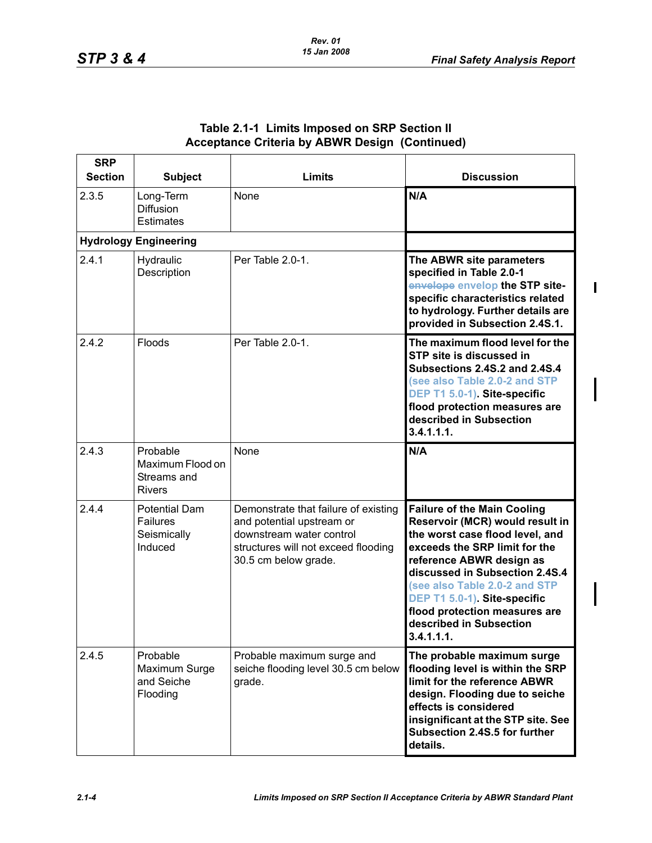$\blacksquare$ 

| <b>SRP</b><br><b>Section</b> | <b>Subject</b>                                                    | Limits                                                                                                                                                       | <b>Discussion</b>                                                                                                                                                                                                                                                                                                                                 |
|------------------------------|-------------------------------------------------------------------|--------------------------------------------------------------------------------------------------------------------------------------------------------------|---------------------------------------------------------------------------------------------------------------------------------------------------------------------------------------------------------------------------------------------------------------------------------------------------------------------------------------------------|
| 2.3.5                        | Long-Term<br><b>Diffusion</b><br><b>Estimates</b>                 | None                                                                                                                                                         | N/A                                                                                                                                                                                                                                                                                                                                               |
|                              | <b>Hydrology Engineering</b>                                      |                                                                                                                                                              |                                                                                                                                                                                                                                                                                                                                                   |
| 2.4.1                        | Hydraulic<br>Description                                          | Per Table 2.0-1.                                                                                                                                             | The ABWR site parameters<br>specified in Table 2.0-1<br>envelope envelop the STP site-<br>specific characteristics related<br>to hydrology. Further details are<br>provided in Subsection 2.4S.1.                                                                                                                                                 |
| 2.4.2                        | Floods                                                            | Per Table 2.0-1.                                                                                                                                             | The maximum flood level for the<br>STP site is discussed in<br>Subsections 2.4S.2 and 2.4S.4<br>(see also Table 2.0-2 and STP<br>DEP T1 5.0-1) Site-specific<br>flood protection measures are<br>described in Subsection<br>3.4.1.1.1.                                                                                                            |
| 2.4.3                        | Probable<br>Maximum Flood on<br>Streams and<br><b>Rivers</b>      | None                                                                                                                                                         | N/A                                                                                                                                                                                                                                                                                                                                               |
| 2.4.4                        | <b>Potential Dam</b><br><b>Failures</b><br>Seismically<br>Induced | Demonstrate that failure of existing<br>and potential upstream or<br>downstream water control<br>structures will not exceed flooding<br>30.5 cm below grade. | <b>Failure of the Main Cooling</b><br>Reservoir (MCR) would result in<br>the worst case flood level, and<br>exceeds the SRP limit for the<br>reference ABWR design as<br>discussed in Subsection 2.4S.4<br>(see also Table 2.0-2 and STP<br>DEP T1 5.0-1) Site-specific<br>flood protection measures are<br>described in Subsection<br>3.4.1.1.1. |
| 2.4.5                        | Probable<br>Maximum Surge<br>and Seiche<br>Flooding               | Probable maximum surge and<br>seiche flooding level 30.5 cm below<br>grade.                                                                                  | The probable maximum surge<br>flooding level is within the SRP<br>limit for the reference ABWR<br>design. Flooding due to seiche<br>effects is considered<br>insignificant at the STP site. See<br>Subsection 2.4S.5 for further<br>details.                                                                                                      |

### **Table 2.1-1 Limits Imposed on SRP Section II Acceptance Criteria by ABWR Design (Continued)**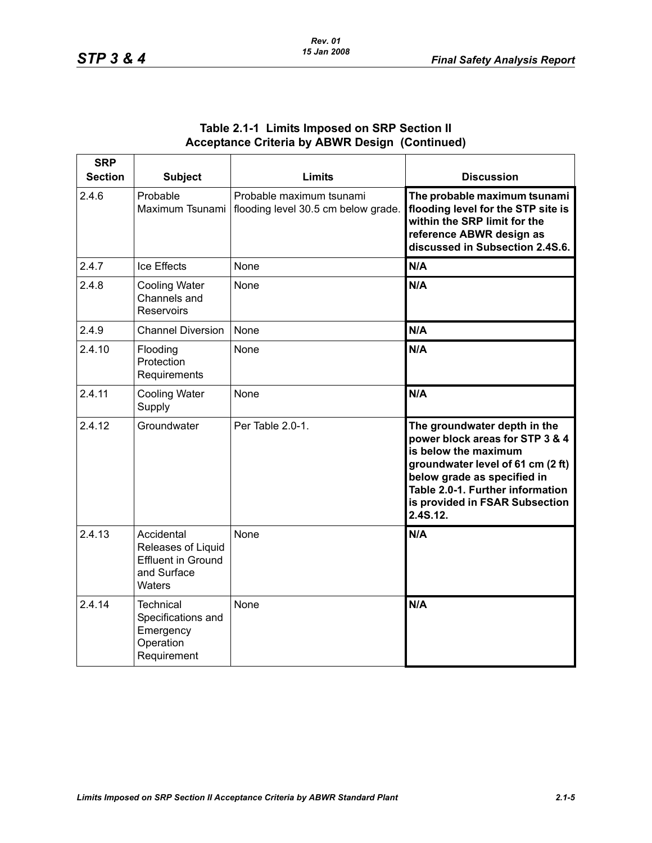| <b>SRP</b><br><b>Section</b> | <b>Subject</b>                                                                         | Limits                                                          | <b>Discussion</b>                                                                                                                                                                                                                             |
|------------------------------|----------------------------------------------------------------------------------------|-----------------------------------------------------------------|-----------------------------------------------------------------------------------------------------------------------------------------------------------------------------------------------------------------------------------------------|
| 2.4.6                        | Probable<br>Maximum Tsunami                                                            | Probable maximum tsunami<br>flooding level 30.5 cm below grade. | The probable maximum tsunami<br>flooding level for the STP site is<br>within the SRP limit for the<br>reference ABWR design as<br>discussed in Subsection 2.4S.6.                                                                             |
| 2.4.7                        | Ice Effects                                                                            | None                                                            | N/A                                                                                                                                                                                                                                           |
| 2.4.8                        | <b>Cooling Water</b><br>Channels and<br><b>Reservoirs</b>                              | None                                                            | N/A                                                                                                                                                                                                                                           |
| 2.4.9                        | <b>Channel Diversion</b>                                                               | None                                                            | N/A                                                                                                                                                                                                                                           |
| 2.4.10                       | Flooding<br>Protection<br>Requirements                                                 | None                                                            | N/A                                                                                                                                                                                                                                           |
| 2.4.11                       | <b>Cooling Water</b><br>Supply                                                         | None                                                            | N/A                                                                                                                                                                                                                                           |
| 2.4.12                       | Groundwater                                                                            | Per Table 2.0-1.                                                | The groundwater depth in the<br>power block areas for STP 3 & 4<br>is below the maximum<br>groundwater level of 61 cm (2 ft)<br>below grade as specified in<br>Table 2.0-1. Further information<br>is provided in FSAR Subsection<br>2.4S.12. |
| 2.4.13                       | Accidental<br>Releases of Liquid<br><b>Effluent in Ground</b><br>and Surface<br>Waters | None                                                            | N/A                                                                                                                                                                                                                                           |
| 2.4.14                       | <b>Technical</b><br>Specifications and<br>Emergency<br>Operation<br>Requirement        | None                                                            | N/A                                                                                                                                                                                                                                           |

## **Table 2.1-1 Limits Imposed on SRP Section II Acceptance Criteria by ABWR Design (Continued)**